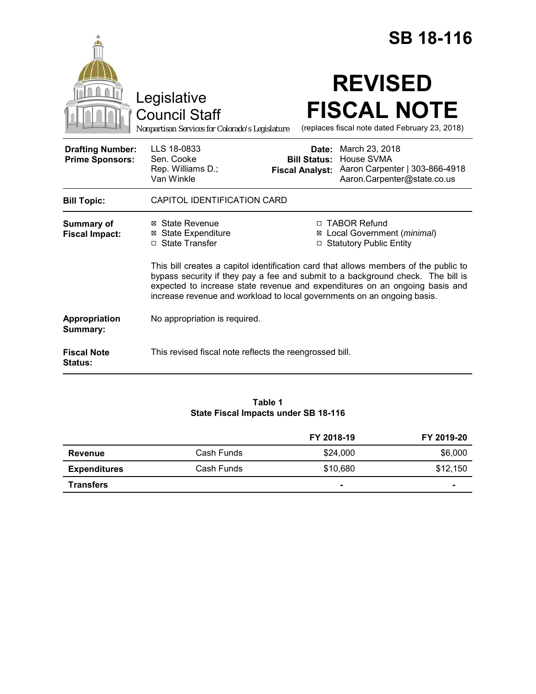|                                                   |                                                                                                                                                                                                                                                                                                                                   |                                                        |                                                                           | <b>SB 18-116</b>                                                     |
|---------------------------------------------------|-----------------------------------------------------------------------------------------------------------------------------------------------------------------------------------------------------------------------------------------------------------------------------------------------------------------------------------|--------------------------------------------------------|---------------------------------------------------------------------------|----------------------------------------------------------------------|
|                                                   | Legislative<br><b>Council Staff</b><br>Nonpartisan Services for Colorado's Legislature                                                                                                                                                                                                                                            |                                                        | <b>REVISED</b>                                                            | <b>FISCAL NOTE</b><br>(replaces fiscal note dated February 23, 2018) |
| <b>Drafting Number:</b><br><b>Prime Sponsors:</b> | LLS 18-0833<br>Sen. Cooke<br>Rep. Williams D.;<br>Van Winkle                                                                                                                                                                                                                                                                      | Date:<br><b>Bill Status:</b><br><b>Fiscal Analyst:</b> | March 23, 2018<br>House SVMA                                              | Aaron Carpenter   303-866-4918<br>Aaron.Carpenter@state.co.us        |
| <b>Bill Topic:</b>                                | CAPITOL IDENTIFICATION CARD                                                                                                                                                                                                                                                                                                       |                                                        |                                                                           |                                                                      |
| <b>Summary of</b><br><b>Fiscal Impact:</b>        | ⊠ State Revenue<br><b>State Expenditure</b><br>□ State Transfer                                                                                                                                                                                                                                                                   |                                                        | □ TABOR Refund<br>Local Government (minimal)<br>□ Statutory Public Entity |                                                                      |
|                                                   | This bill creates a capitol identification card that allows members of the public to<br>bypass security if they pay a fee and submit to a background check. The bill is<br>expected to increase state revenue and expenditures on an ongoing basis and<br>increase revenue and workload to local governments on an ongoing basis. |                                                        |                                                                           |                                                                      |
| Appropriation<br>Summary:                         | No appropriation is required.                                                                                                                                                                                                                                                                                                     |                                                        |                                                                           |                                                                      |
| <b>Fiscal Note</b><br><b>Status:</b>              | This revised fiscal note reflects the reengrossed bill.                                                                                                                                                                                                                                                                           |                                                        |                                                                           |                                                                      |

### **Table 1 State Fiscal Impacts under SB 18-116**

|                     |            | FY 2018-19 | FY 2019-20 |
|---------------------|------------|------------|------------|
| Revenue             | Cash Funds | \$24,000   | \$6,000    |
| <b>Expenditures</b> | Cash Funds | \$10,680   | \$12,150   |
| <b>Transfers</b>    |            |            | -          |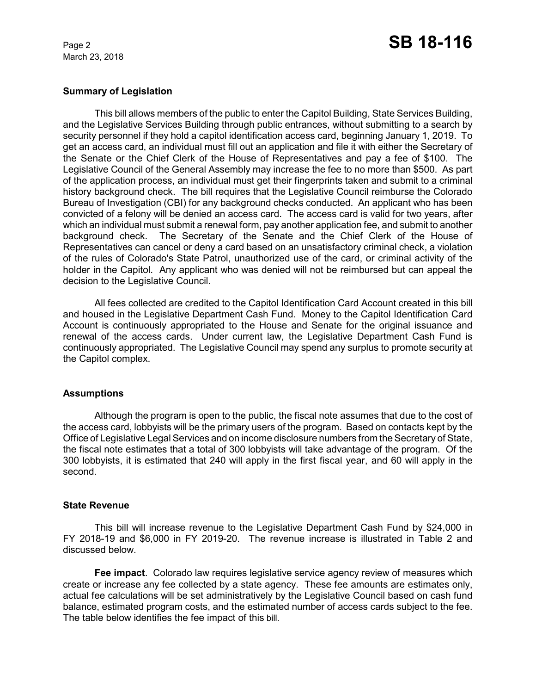March 23, 2018

### **Summary of Legislation**

This bill allows members of the public to enter the Capitol Building, State Services Building, and the Legislative Services Building through public entrances, without submitting to a search by security personnel if they hold a capitol identification access card, beginning January 1, 2019. To get an access card, an individual must fill out an application and file it with either the Secretary of the Senate or the Chief Clerk of the House of Representatives and pay a fee of \$100. The Legislative Council of the General Assembly may increase the fee to no more than \$500. As part of the application process, an individual must get their fingerprints taken and submit to a criminal history background check. The bill requires that the Legislative Council reimburse the Colorado Bureau of Investigation (CBI) for any background checks conducted. An applicant who has been convicted of a felony will be denied an access card. The access card is valid for two years, after which an individual must submit a renewal form, pay another application fee, and submit to another background check. The Secretary of the Senate and the Chief Clerk of the House of Representatives can cancel or deny a card based on an unsatisfactory criminal check, a violation of the rules of Colorado's State Patrol, unauthorized use of the card, or criminal activity of the holder in the Capitol. Any applicant who was denied will not be reimbursed but can appeal the decision to the Legislative Council.

All fees collected are credited to the Capitol Identification Card Account created in this bill and housed in the Legislative Department Cash Fund. Money to the Capitol Identification Card Account is continuously appropriated to the House and Senate for the original issuance and renewal of the access cards. Under current law, the Legislative Department Cash Fund is continuously appropriated. The Legislative Council may spend any surplus to promote security at the Capitol complex.

#### **Assumptions**

Although the program is open to the public, the fiscal note assumes that due to the cost of the access card, lobbyists will be the primary users of the program. Based on contacts kept by the Office of Legislative Legal Services and on income disclosure numbers from the Secretary of State, the fiscal note estimates that a total of 300 lobbyists will take advantage of the program. Of the 300 lobbyists, it is estimated that 240 will apply in the first fiscal year, and 60 will apply in the second.

### **State Revenue**

This bill will increase revenue to the Legislative Department Cash Fund by \$24,000 in FY 2018-19 and \$6,000 in FY 2019-20. The revenue increase is illustrated in Table 2 and discussed below.

**Fee impact**. Colorado law requires legislative service agency review of measures which create or increase any fee collected by a state agency. These fee amounts are estimates only, actual fee calculations will be set administratively by the Legislative Council based on cash fund balance, estimated program costs, and the estimated number of access cards subject to the fee. The table below identifies the fee impact of this bill.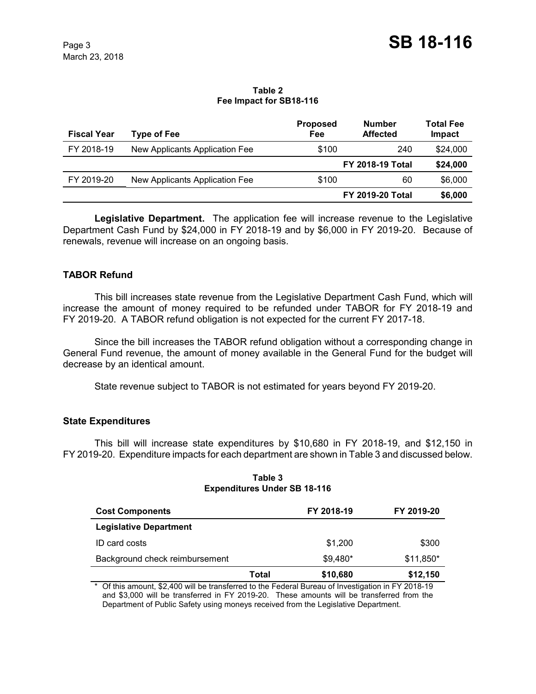#### **Table 2 Fee Impact for SB18-116**

| <b>Fiscal Year</b> | <b>Type of Fee</b>             | <b>Proposed</b><br>Fee  | <b>Number</b><br><b>Affected</b> | <b>Total Fee</b><br>Impact |
|--------------------|--------------------------------|-------------------------|----------------------------------|----------------------------|
| FY 2018-19         | New Applicants Application Fee | \$100                   | 240                              | \$24,000                   |
|                    |                                |                         | <b>FY 2018-19 Total</b>          | \$24,000                   |
| FY 2019-20         | New Applicants Application Fee | \$100                   | 60                               | \$6,000                    |
|                    |                                | <b>FY 2019-20 Total</b> |                                  | \$6,000                    |

**Legislative Department.** The application fee will increase revenue to the Legislative Department Cash Fund by \$24,000 in FY 2018-19 and by \$6,000 in FY 2019-20. Because of renewals, revenue will increase on an ongoing basis.

# **TABOR Refund**

This bill increases state revenue from the Legislative Department Cash Fund, which will increase the amount of money required to be refunded under TABOR for FY 2018-19 and FY 2019-20. A TABOR refund obligation is not expected for the current FY 2017-18.

Since the bill increases the TABOR refund obligation without a corresponding change in General Fund revenue, the amount of money available in the General Fund for the budget will decrease by an identical amount.

State revenue subject to TABOR is not estimated for years beyond FY 2019-20.

#### **State Expenditures**

This bill will increase state expenditures by \$10,680 in FY 2018-19, and \$12,150 in FY 2019-20. Expenditure impacts for each department are shown in Table 3 and discussed below.

| <b>Cost Components</b>         |       | FY 2018-19 | FY 2019-20 |
|--------------------------------|-------|------------|------------|
| <b>Legislative Department</b>  |       |            |            |
| ID card costs                  |       | \$1,200    | \$300      |
| Background check reimbursement |       | $$9,480*$  | \$11,850*  |
|                                | Total | \$10,680   | \$12,150   |

### **Table 3 Expenditures Under SB 18-116**

\* Of this amount, \$2,400 will be transferred to the Federal Bureau of Investigation in FY 2018-19 and \$3,000 will be transferred in FY 2019-20. These amounts will be transferred from the Department of Public Safety using moneys received from the Legislative Department.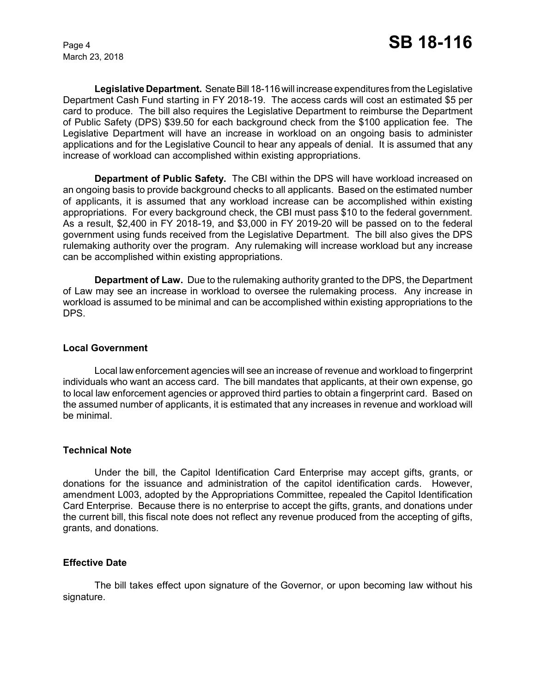March 23, 2018

**Legislative Department.** Senate Bill 18-116 will increase expenditures from the Legislative Department Cash Fund starting in FY 2018-19. The access cards will cost an estimated \$5 per card to produce. The bill also requires the Legislative Department to reimburse the Department of Public Safety (DPS) \$39.50 for each background check from the \$100 application fee. The Legislative Department will have an increase in workload on an ongoing basis to administer applications and for the Legislative Council to hear any appeals of denial. It is assumed that any increase of workload can accomplished within existing appropriations.

**Department of Public Safety.** The CBI within the DPS will have workload increased on an ongoing basis to provide background checks to all applicants. Based on the estimated number of applicants, it is assumed that any workload increase can be accomplished within existing appropriations. For every background check, the CBI must pass \$10 to the federal government. As a result, \$2,400 in FY 2018-19, and \$3,000 in FY 2019-20 will be passed on to the federal government using funds received from the Legislative Department. The bill also gives the DPS rulemaking authority over the program. Any rulemaking will increase workload but any increase can be accomplished within existing appropriations.

**Department of Law.** Due to the rulemaking authority granted to the DPS, the Department of Law may see an increase in workload to oversee the rulemaking process. Any increase in workload is assumed to be minimal and can be accomplished within existing appropriations to the DPS.

#### **Local Government**

Local law enforcement agencies will see an increase of revenue and workload to fingerprint individuals who want an access card. The bill mandates that applicants, at their own expense, go to local law enforcement agencies or approved third parties to obtain a fingerprint card. Based on the assumed number of applicants, it is estimated that any increases in revenue and workload will be minimal.

#### **Technical Note**

Under the bill, the Capitol Identification Card Enterprise may accept gifts, grants, or donations for the issuance and administration of the capitol identification cards. However, amendment L003, adopted by the Appropriations Committee, repealed the Capitol Identification Card Enterprise. Because there is no enterprise to accept the gifts, grants, and donations under the current bill, this fiscal note does not reflect any revenue produced from the accepting of gifts, grants, and donations.

#### **Effective Date**

The bill takes effect upon signature of the Governor, or upon becoming law without his signature.